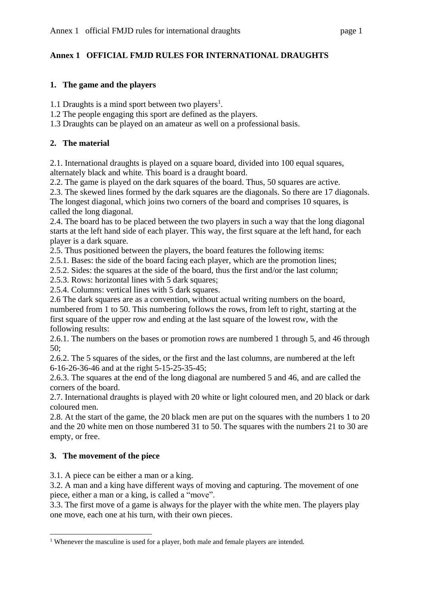## **Annex 1 OFFICIAL FMJD RULES FOR INTERNATIONAL DRAUGHTS**

#### **1. The game and the players**

1.1 Draughts is a mind sport between two players<sup>1</sup>.

- 1.2 The people engaging this sport are defined as the players.
- 1.3 Draughts can be played on an amateur as well on a professional basis.

### **2. The material**

2.1. International draughts is played on a square board, divided into 100 equal squares, alternately black and white. This board is a draught board.

2.2. The game is played on the dark squares of the board. Thus, 50 squares are active.

2.3. The skewed lines formed by the dark squares are the diagonals. So there are 17 diagonals.

The longest diagonal, which joins two corners of the board and comprises 10 squares, is called the long diagonal.

2.4. The board has to be placed between the two players in such a way that the long diagonal starts at the left hand side of each player. This way, the first square at the left hand, for each player is a dark square.

2.5. Thus positioned between the players, the board features the following items:

2.5.1. Bases: the side of the board facing each player, which are the promotion lines;

2.5.2. Sides: the squares at the side of the board, thus the first and/or the last column;

2.5.3. Rows: horizontal lines with 5 dark squares;

2.5.4. Columns: vertical lines with 5 dark squares.

2.6 The dark squares are as a convention, without actual writing numbers on the board, numbered from 1 to 50. This numbering follows the rows, from left to right, starting at the first square of the upper row and ending at the last square of the lowest row, with the following results:

2.6.1. The numbers on the bases or promotion rows are numbered 1 through 5, and 46 through 50;

2.6.2. The 5 squares of the sides, or the first and the last columns, are numbered at the left 6-16-26-36-46 and at the right 5-15-25-35-45;

2.6.3. The squares at the end of the long diagonal are numbered 5 and 46, and are called the corners of the board.

2.7. International draughts is played with 20 white or light coloured men, and 20 black or dark coloured men.

2.8. At the start of the game, the 20 black men are put on the squares with the numbers 1 to 20 and the 20 white men on those numbered 31 to 50. The squares with the numbers 21 to 30 are empty, or free.

## **3. The movement of the piece**

3.1. A piece can be either a man or a king.

3.2. A man and a king have different ways of moving and capturing. The movement of one piece, either a man or a king, is called a "move".

3.3. The first move of a game is always for the player with the white men. The players play one move, each one at his turn, with their own pieces.

<sup>&</sup>lt;sup>1</sup> Whenever the masculine is used for a player, both male and female players are intended.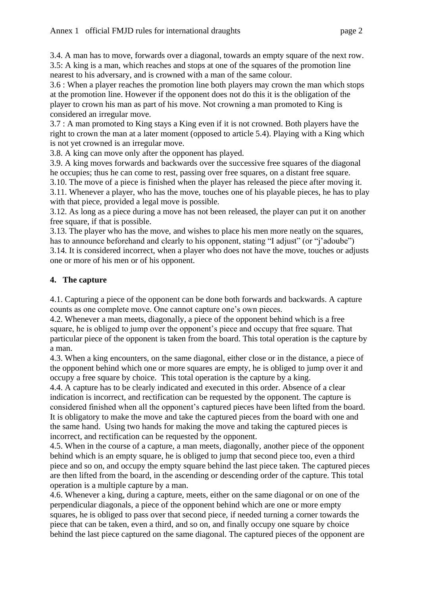3.4. A man has to move, forwards over a diagonal, towards an empty square of the next row. 3.5: A king is a man, which reaches and stops at one of the squares of the promotion line nearest to his adversary, and is crowned with a man of the same colour.

3.6 : When a player reaches the promotion line both players may crown the man which stops at the promotion line. However if the opponent does not do this it is the obligation of the player to crown his man as part of his move. Not crowning a man promoted to King is considered an irregular move.

3.7 : A man promoted to King stays a King even if it is not crowned. Both players have the right to crown the man at a later moment (opposed to article 5.4). Playing with a King which is not yet crowned is an irregular move.

3.8. A king can move only after the opponent has played.

3.9. A king moves forwards and backwards over the successive free squares of the diagonal he occupies; thus he can come to rest, passing over free squares, on a distant free square.

3.10. The move of a piece is finished when the player has released the piece after moving it. 3.11. Whenever a player, who has the move, touches one of his playable pieces, he has to play with that piece, provided a legal move is possible.

3.12. As long as a piece during a move has not been released, the player can put it on another free square, if that is possible.

3.13. The player who has the move, and wishes to place his men more neatly on the squares, has to announce beforehand and clearly to his opponent, stating "I adjust" (or "j'adoube")

3.14. It is considered incorrect, when a player who does not have the move, touches or adjusts one or more of his men or of his opponent.

# **4. The capture**

4.1. Capturing a piece of the opponent can be done both forwards and backwards. A capture counts as one complete move. One cannot capture one's own pieces.

4.2. Whenever a man meets, diagonally, a piece of the opponent behind which is a free square, he is obliged to jump over the opponent's piece and occupy that free square. That particular piece of the opponent is taken from the board. This total operation is the capture by a man.

4.3. When a king encounters, on the same diagonal, either close or in the distance, a piece of the opponent behind which one or more squares are empty, he is obliged to jump over it and occupy a free square by choice. This total operation is the capture by a king.

4.4. A capture has to be clearly indicated and executed in this order. Absence of a clear indication is incorrect, and rectification can be requested by the opponent. The capture is considered finished when all the opponent's captured pieces have been lifted from the board. It is obligatory to make the move and take the captured pieces from the board with one and the same hand. Using two hands for making the move and taking the captured pieces is incorrect, and rectification can be requested by the opponent.

4.5. When in the course of a capture, a man meets, diagonally, another piece of the opponent behind which is an empty square, he is obliged to jump that second piece too, even a third piece and so on, and occupy the empty square behind the last piece taken. The captured pieces are then lifted from the board, in the ascending or descending order of the capture. This total operation is a multiple capture by a man.

4.6. Whenever a king, during a capture, meets, either on the same diagonal or on one of the perpendicular diagonals, a piece of the opponent behind which are one or more empty squares, he is obliged to pass over that second piece, if needed turning a corner towards the piece that can be taken, even a third, and so on, and finally occupy one square by choice behind the last piece captured on the same diagonal. The captured pieces of the opponent are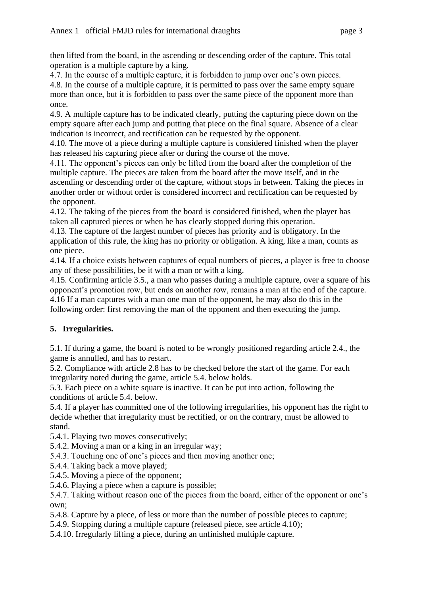then lifted from the board, in the ascending or descending order of the capture. This total operation is a multiple capture by a king.

4.7. In the course of a multiple capture, it is forbidden to jump over one's own pieces.

4.8. In the course of a multiple capture, it is permitted to pass over the same empty square more than once, but it is forbidden to pass over the same piece of the opponent more than once.

4.9. A multiple capture has to be indicated clearly, putting the capturing piece down on the empty square after each jump and putting that piece on the final square. Absence of a clear indication is incorrect, and rectification can be requested by the opponent.

4.10. The move of a piece during a multiple capture is considered finished when the player has released his capturing piece after or during the course of the move.

4.11. The opponent's pieces can only be lifted from the board after the completion of the multiple capture. The pieces are taken from the board after the move itself, and in the ascending or descending order of the capture, without stops in between. Taking the pieces in another order or without order is considered incorrect and rectification can be requested by the opponent.

4.12. The taking of the pieces from the board is considered finished, when the player has taken all captured pieces or when he has clearly stopped during this operation.

4.13. The capture of the largest number of pieces has priority and is obligatory. In the application of this rule, the king has no priority or obligation. A king, like a man, counts as one piece.

4.14. If a choice exists between captures of equal numbers of pieces, a player is free to choose any of these possibilities, be it with a man or with a king.

4.15. Confirming article 3.5., a man who passes during a multiple capture, over a square of his opponent's promotion row, but ends on another row, remains a man at the end of the capture. 4.16 If a man captures with a man one man of the opponent, he may also do this in the following order: first removing the man of the opponent and then executing the jump.

# **5. Irregularities.**

5.1. If during a game, the board is noted to be wrongly positioned regarding article 2.4., the game is annulled, and has to restart.

5.2. Compliance with article 2.8 has to be checked before the start of the game. For each irregularity noted during the game, article 5.4. below holds.

5.3. Each piece on a white square is inactive. It can be put into action, following the conditions of article 5.4. below.

5.4. If a player has committed one of the following irregularities, his opponent has the right to decide whether that irregularity must be rectified, or on the contrary, must be allowed to stand.

5.4.1. Playing two moves consecutively;

5.4.2. Moving a man or a king in an irregular way;

5.4.3. Touching one of one's pieces and then moving another one;

- 5.4.4. Taking back a move played;
- 5.4.5. Moving a piece of the opponent;

5.4.6. Playing a piece when a capture is possible;

5.4.7. Taking without reason one of the pieces from the board, either of the opponent or one's own;

5.4.8. Capture by a piece, of less or more than the number of possible pieces to capture;

5.4.9. Stopping during a multiple capture (released piece, see article 4.10);

5.4.10. Irregularly lifting a piece, during an unfinished multiple capture.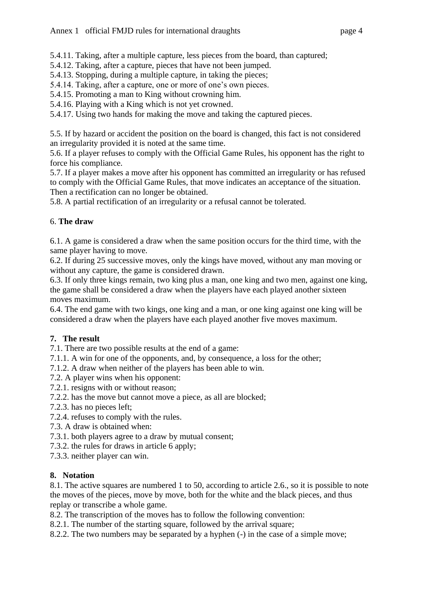- 5.4.12. Taking, after a capture, pieces that have not been jumped.
- 5.4.13. Stopping, during a multiple capture, in taking the pieces;
- 5.4.14. Taking, after a capture, one or more of one's own pieces.
- 5.4.15. Promoting a man to King without crowning him.
- 5.4.16. Playing with a King which is not yet crowned.

5.4.17. Using two hands for making the move and taking the captured pieces.

5.5. If by hazard or accident the position on the board is changed, this fact is not considered an irregularity provided it is noted at the same time.

5.6. If a player refuses to comply with the Official Game Rules, his opponent has the right to force his compliance.

5.7. If a player makes a move after his opponent has committed an irregularity or has refused to comply with the Official Game Rules, that move indicates an acceptance of the situation. Then a rectification can no longer be obtained.

5.8. A partial rectification of an irregularity or a refusal cannot be tolerated.

#### 6. **The draw**

6.1. A game is considered a draw when the same position occurs for the third time, with the same player having to move.

6.2. If during 25 successive moves, only the kings have moved, without any man moving or without any capture, the game is considered drawn.

6.3. If only three kings remain, two king plus a man, one king and two men, against one king, the game shall be considered a draw when the players have each played another sixteen moves maximum.

6.4. The end game with two kings, one king and a man, or one king against one king will be considered a draw when the players have each played another five moves maximum.

## **7. The result**

7.1. There are two possible results at the end of a game:

- 7.1.1. A win for one of the opponents, and, by consequence, a loss for the other;
- 7.1.2. A draw when neither of the players has been able to win.
- 7.2. A player wins when his opponent:
- 7.2.1. resigns with or without reason;
- 7.2.2. has the move but cannot move a piece, as all are blocked;
- 7.2.3. has no pieces left;
- 7.2.4. refuses to comply with the rules.
- 7.3. A draw is obtained when:
- 7.3.1. both players agree to a draw by mutual consent;
- 7.3.2. the rules for draws in article 6 apply;
- 7.3.3. neither player can win.

#### **8. Notation**

8.1. The active squares are numbered 1 to 50, according to article 2.6., so it is possible to note the moves of the pieces, move by move, both for the white and the black pieces, and thus replay or transcribe a whole game.

8.2. The transcription of the moves has to follow the following convention:

8.2.1. The number of the starting square, followed by the arrival square;

8.2.2. The two numbers may be separated by a hyphen (-) in the case of a simple move;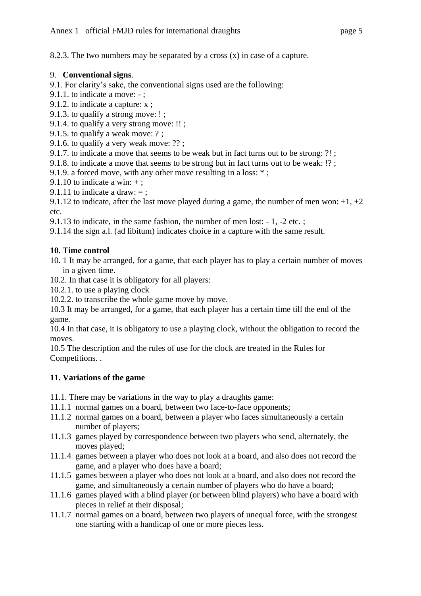8.2.3. The two numbers may be separated by a cross (x) in case of a capture.

### 9. **Conventional signs**.

- 9.1. For clarity's sake, the conventional signs used are the following:
- 9.1.1. to indicate a move: ;
- 9.1.2. to indicate a capture: x ;
- 9.1.3. to qualify a strong move: ! ;
- 9.1.4. to qualify a very strong move: !! ;
- 9.1.5. to qualify a weak move: ? ;
- 9.1.6. to qualify a very weak move: ?? ;
- 9.1.7. to indicate a move that seems to be weak but in fact turns out to be strong: ?! ;
- 9.1.8. to indicate a move that seems to be strong but in fact turns out to be weak: !? ;
- 9.1.9. a forced move, with any other move resulting in a loss: \* ;
- 9.1.10 to indicate a win:  $+$ :
- 9.1.11 to indicate a draw:  $=$ :

9.1.12 to indicate, after the last move played during a game, the number of men won:  $+1$ ,  $+2$ etc.

- 9.1.13 to indicate, in the same fashion, the number of men lost: 1, -2 etc. ;
- 9.1.14 the sign a.l. (ad libitum) indicates choice in a capture with the same result.

#### **10. Time control**

- 10. 1 It may be arranged, for a game, that each player has to play a certain number of moves in a given time.
- 10.2. In that case it is obligatory for all players:
- 10.2.1. to use a playing clock
- 10.2.2. to transcribe the whole game move by move.

10.3 It may be arranged, for a game, that each player has a certain time till the end of the game.

10.4 In that case, it is obligatory to use a playing clock, without the obligation to record the moves.

10.5 The description and the rules of use for the clock are treated in the Rules for Competitions. .

## **11. Variations of the game**

- 11.1. There may be variations in the way to play a draughts game:
- 11.1.1 normal games on a board, between two face-to-face opponents;
- 11.1.2 normal games on a board, between a player who faces simultaneously a certain number of players;
- 11.1.3 games played by correspondence between two players who send, alternately, the moves played;
- 11.1.4 games between a player who does not look at a board, and also does not record the game, and a player who does have a board;
- 11.1.5 games between a player who does not look at a board, and also does not record the game, and simultaneously a certain number of players who do have a board;
- 11.1.6 games played with a blind player (or between blind players) who have a board with pieces in relief at their disposal;
- 11.1.7 normal games on a board, between two players of unequal force, with the strongest one starting with a handicap of one or more pieces less.